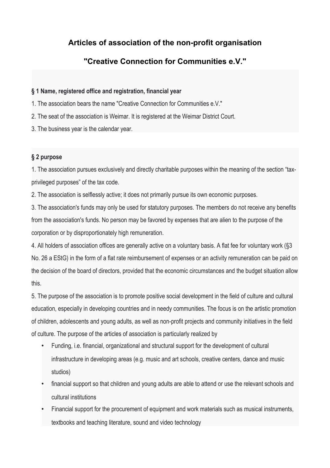# **Articles of association of the non-profit organisation**

# **"Creative Connection for Communities e.V."**

## **§ 1 Name, registered office and registration, financial year**

- 1. The association bears the name "Creative Connection for Communities e.V."
- 2. The seat of the association is Weimar. It is registered at the Weimar District Court.
- 3. The business year is the calendar year.

## **§ 2 purpose**

1. The association pursues exclusively and directly charitable purposes within the meaning of the section "taxprivileged purposes" of the tax code.

2. The association is selflessly active; it does not primarily pursue its own economic purposes.

3. The association's funds may only be used for statutory purposes. The members do not receive any benefits from the association's funds. No person may be favored by expenses that are alien to the purpose of the corporation or by disproportionately high remuneration.

4. All holders of association offices are generally active on a voluntary basis. A flat fee for voluntary work (§3 No. 26 a EStG) in the form of a flat rate reimbursement of expenses or an activity remuneration can be paid on the decision of the board of directors, provided that the economic circumstances and the budget situation allow this.

5. The purpose of the association is to promote positive social development in the field of culture and cultural education, especially in developing countries and in needy communities. The focus is on the artistic promotion of children, adolescents and young adults, as well as non-profit projects and community initiatives in the field of culture. The purpose of the articles of association is particularly realized by

- Funding, i.e. financial, organizational and structural support for the development of cultural infrastructure in developing areas (e.g. music and art schools, creative centers, dance and music studios)
- financial support so that children and young adults are able to attend or use the relevant schools and cultural institutions
- Financial support for the procurement of equipment and work materials such as musical instruments, textbooks and teaching literature, sound and video technology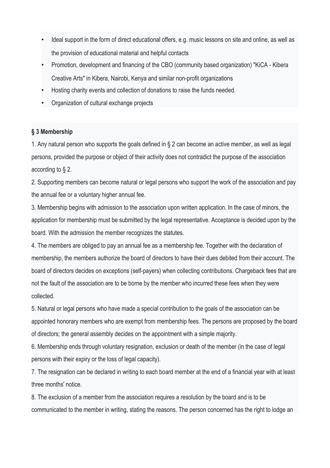- Ideal support in the form of direct educational offers, e.g. music lessons on site and online, as well as the provision of educational material and helpful contacts
- Promotion, development and financing of the CBO (community based organization) "KiCA Kibera Creative Arts" in Kibera, Nairobi, Kenya and similar non-profit organizations
- Hosting charity events and collection of donations to raise the funds needed.
- Organization of cultural exchange projects

## **§ 3 Membership**

1. Any natural person who supports the goals defined in § 2 can become an active member, as well as legal persons, provided the purpose or object of their activity does not contradict the purpose of the association according to § 2.

2. Supporting members can become natural or legal persons who support the work of the association and pay the annual fee or a voluntary higher annual fee.

3. Membership begins with admission to the association upon written application. In the case of minors, the application for membership must be submitted by the legal representative. Acceptance is decided upon by the board. With the admission the member recognizes the statutes.

4. The members are obliged to pay an annual fee as a membership fee. Together with the declaration of membership, the members authorize the board of directors to have their dues debited from their account. The board of directors decides on exceptions (self-payers) when collecting contributions. Chargeback fees that are not the fault of the association are to be borne by the member who incurred these fees when they were collected.

5. Natural or legal persons who have made a special contribution to the goals of the association can be appointed honorary members who are exempt from membership fees. The persons are proposed by the board of directors; the general assembly decides on the appointment with a simple majority.

6. Membership ends through voluntary resignation, exclusion or death of the member (in the case of legal persons with their expiry or the loss of legal capacity).

7. The resignation can be declared in writing to each board member at the end of a financial year with at least three months' notice.

8. The exclusion of a member from the association requires a resolution by the board and is to be communicated to the member in writing, stating the reasons. The person concerned has the right to lodge an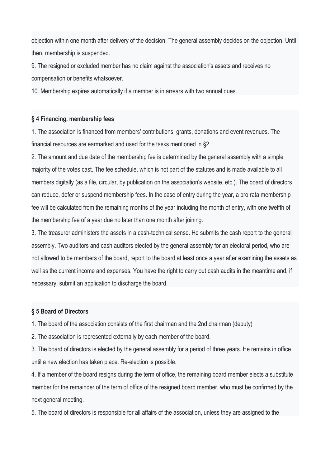objection within one month after delivery of the decision. The general assembly decides on the objection. Until then, membership is suspended.

9. The resigned or excluded member has no claim against the association's assets and receives no compensation or benefits whatsoever.

10. Membership expires automatically if a member is in arrears with two annual dues.

## **§ 4 Financing, membership fees**

1. The association is financed from members' contributions, grants, donations and event revenues. The financial resources are earmarked and used for the tasks mentioned in §2.

2. The amount and due date of the membership fee is determined by the general assembly with a simple majority of the votes cast. The fee schedule, which is not part of the statutes and is made available to all members digitally (as a file, circular, by publication on the association's website, etc.). The board of directors can reduce, defer or suspend membership fees. In the case of entry during the year, a pro rata membership fee will be calculated from the remaining months of the year including the month of entry, with one twelfth of the membership fee of a year due no later than one month after joining.

3. The treasurer administers the assets in a cash-technical sense. He submits the cash report to the general assembly. Two auditors and cash auditors elected by the general assembly for an electoral period, who are not allowed to be members of the board, report to the board at least once a year after examining the assets as well as the current income and expenses. You have the right to carry out cash audits in the meantime and, if necessary, submit an application to discharge the board.

## **§ 5 Board of Directors**

1. The board of the association consists of the first chairman and the 2nd chairman (deputy)

2. The association is represented externally by each member of the board.

3. The board of directors is elected by the general assembly for a period of three years. He remains in office until a new election has taken place. Re-election is possible.

4. If a member of the board resigns during the term of office, the remaining board member elects a substitute member for the remainder of the term of office of the resigned board member, who must be confirmed by the next general meeting.

5. The board of directors is responsible for all affairs of the association, unless they are assigned to the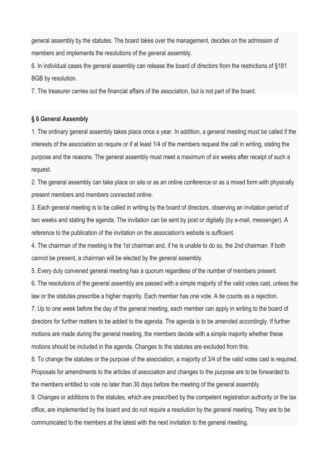general assembly by the statutes. The board takes over the management, decides on the admission of members and implements the resolutions of the general assembly.

6. In individual cases the general assembly can release the board of directors from the restrictions of §181 BGB by resolution.

7. The treasurer carries out the financial affairs of the association, but is not part of the board.

### **§ 6 General Assembly**

1. The ordinary general assembly takes place once a year. In addition, a general meeting must be called if the interests of the association so require or if at least 1/4 of the members request the call in writing, stating the purpose and the reasons. The general assembly must meet a maximum of six weeks after receipt of such a request.

2. The general assembly can take place on site or as an online conference or as a mixed form with physically present members and members connected online.

3. Each general meeting is to be called in writing by the board of directors, observing an invitation period of two weeks and stating the agenda. The invitation can be sent by post or digitally (by e-mail, messenger). A reference to the publication of the invitation on the association's website is sufficient.

4. The chairman of the meeting is the 1st chairman and, if he is unable to do so, the 2nd chairman. If both cannot be present, a chairman will be elected by the general assembly.

5. Every duly convened general meeting has a quorum regardless of the number of members present.

6. The resolutions of the general assembly are passed with a simple majority of the valid votes cast, unless the law or the statutes prescribe a higher majority. Each member has one vote. A tie counts as a rejection.

7. Up to one week before the day of the general meeting, each member can apply in writing to the board of directors for further matters to be added to the agenda. The agenda is to be amended accordingly. If further motions are made during the general meeting, the members decide with a simple majority whether these motions should be included in the agenda. Changes to the statutes are excluded from this.

8. To change the statutes or the purpose of the association, a majority of 3/4 of the valid votes cast is required. Proposals for amendments to the articles of association and changes to the purpose are to be forwarded to the members entitled to vote no later than 30 days before the meeting of the general assembly.

9. Changes or additions to the statutes, which are prescribed by the competent registration authority or the tax office, are implemented by the board and do not require a resolution by the general meeting. They are to be communicated to the members at the latest with the next invitation to the general meeting.